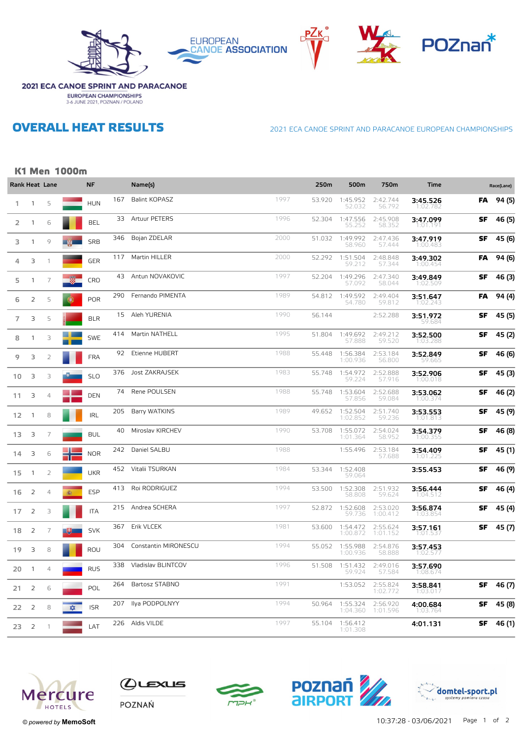









### **2021 ECA CANOE SPRINT AND PARACANOE EUROPEAN CHAMPIONSHIPS**<br>3-6 JUNE 2021, POZNAN / POLAND

**OVERALL HEAT RESULTS** 

2021 ECA CANOE SPRINT AND PARACANOE EUROPEAN CHAMPIONSHIPS

#### **K1 Men 1000m**

|                |                | Rank Heat Lane |          | <b>NF</b>  |     | Name(s)               |      | 250m   | 500m                 | 750m                 | <b>Time</b>          |           | Race(Lane) |
|----------------|----------------|----------------|----------|------------|-----|-----------------------|------|--------|----------------------|----------------------|----------------------|-----------|------------|
| 1.             | $\mathbf{1}$   | 5              |          | <b>HUN</b> | 167 | <b>Balint KOPASZ</b>  | 1997 | 53.920 | 1:45.952<br>52.032   | 2:42.744<br>56.792   | 3:45.526<br>1:02.782 | FA        | 94 (5)     |
| 2              | $\mathbf{1}$   | 6              |          | <b>BEL</b> | 33  | Artuur PETERS         | 1996 | 52.304 | 1:47.556<br>55.252   | 2:45.908<br>58.352   | 3:47.099<br>1:01.191 | SF        | 46 (5)     |
| 3              | 1              | 9              |          | <b>SRB</b> | 346 | Bojan ZDELAR          | 2000 | 51.032 | 1:49.992<br>58.960   | 2:47.436<br>57.444   | 3:47.919<br>1:00.483 | SF        | 45 (6)     |
| 4              | 3              | 1              |          | <b>GER</b> | 117 | Martin HILLER         | 2000 | 52.292 | 1:51.504<br>59.212   | 2:48.848<br>57.344   | 3:49.302<br>1:00.454 | FA        | 94 (6)     |
| 5              | $\mathbf{1}$   | 7              |          | <b>CRO</b> | 43  | Antun NOVAKOVIC       | 1997 | 52.204 | 1:49.296<br>57.092   | 2:47.340<br>58.044   | 3:49.849<br>1:02.509 | SF        | 46 (3)     |
| 6              | $\overline{2}$ | 5              | G        | <b>POR</b> | 290 | Fernando PIMENTA      | 1989 | 54.812 | 1:49.592<br>54.780   | 2:49.404<br>59.812   | 3:51.647<br>1:02.243 | FA        | 94 (4)     |
| $\overline{7}$ | 3              | 5              |          | <b>BLR</b> | 15  | Aleh YURENIA          | 1990 | 56.144 |                      | 2:52.288             | 3:51.972<br>59.684   | SF        | 45 (5)     |
| 8              | $\mathbf{1}$   | 3              |          | <b>SWE</b> | 414 | Martin NATHELL        | 1995 | 51.804 | 1:49.692<br>57.888   | 2:49.212<br>59.520   | 3:52.500<br>1:03.288 | SF        | 45 (2)     |
| 9              | 3              | $\overline{2}$ |          | <b>FRA</b> | 92  | Etienne HUBERT        | 1988 | 55.448 | 1:56.384<br>1:00.936 | 2:53.184<br>56.800   | 3:52.849<br>59.665   | SF        | 46 (6)     |
| 10             | 3              | 3              |          | <b>SLO</b> | 376 | <b>Jost ZAKRAJSEK</b> | 1983 | 55.748 | 1:54.972<br>59.224   | 2:52.888<br>57.916   | 3:52.906<br>1:00.0   | SF        | 45 (3)     |
| 11             | 3              | 4              |          | <b>DEN</b> | 74  | Rene POULSEN          | 1988 | 55.748 | 1:53.604<br>57.856   | 2:52.688<br>59.084   | 3:53.062<br>1:00.37  | SF        | 46 (2)     |
| 12             | $\overline{1}$ | 8              |          | <b>IRL</b> | 205 | Barry WATKINS         | 1989 | 49.652 | 1:52.504<br>1:02.852 | 2:51.740<br>59.236   | 3:53.553<br>1:01.813 | SF        | 45 (9)     |
| 13             | 3              | 7              |          | <b>BUL</b> | 40  | Miroslav KIRCHEV      | 1990 | 53.708 | 1:55.072<br>1:01.364 | 2:54.024<br>58.952   | 3:54.379<br>1:00.355 | SF        | 46 (8)     |
| 14             | 3              | 6              |          | <b>NOR</b> | 242 | Daniel SALBU          | 1988 |        | 1:55.496             | 2:53.184<br>57.688   | 3:54.409<br>1:01.225 | SF        | 45 (1)     |
| 15             | $\mathbf{1}$   | $\overline{2}$ |          | <b>UKR</b> | 452 | Vitalii TSURKAN       | 1984 | 53.344 | 1:52.408<br>59.064   |                      | 3:55.453             | SF        | 46 (9)     |
| 16             | 2              | 4              | 靏        | <b>ESP</b> | 413 | Roi RODRIGUEZ         | 1994 | 53.500 | 1:52.308<br>58.808   | 2:51.932<br>59.624   | 3:56.444<br>1:04.512 | SF        | 46 (4)     |
| 17             | 2              | 3              |          | <b>ITA</b> | 215 | Andrea SCHERA         | 1997 | 52.872 | 1:52.608<br>59.736   | 2:53.020<br>1:00.412 | 3:56.874             | SF        | 45 (4)     |
| 18             | 2              | 7              |          | <b>SVK</b> | 367 | Erik VLCEK            | 1981 | 53.600 | 1:54.472<br>1:00.872 | 2:55.624<br>1:01.152 | 3:57.161<br>1:01.531 | SF        | 45 (7)     |
| 19             | 3              | 8              |          | ROU        | 304 | Constantin MIRONESCU  | 1994 | 55.052 | 1:55.988<br>1:00.936 | 2:54.876<br>58.888   | 3:57.453<br>1:02.577 |           |            |
| 20             | $\mathbf{1}$   | 4              |          | <b>RUS</b> | 338 | Vladislav BLINTCOV    | 1996 | 51.508 | 1:51.432<br>59.924   | 2:49.016<br>57.584   | 3:57.690<br>1:08.674 |           |            |
| 21             | $\overline{2}$ | 6              |          | POL        | 264 | Bartosz STABNO        | 1991 |        | 1:53.052             | 2:55.824<br>1:02.772 | 3:58.841<br>1:03.017 | SF        | 46 (7)     |
| 22             | 2              | 8              | <b>★</b> | <b>ISR</b> | 207 | Ilya PODPOLNYY        | 1994 | 50.964 | 1:55.324<br>1:04.360 | 2:56.920<br>1:01.596 | 4:00.684<br>1:03.764 | SF        | 45 (8)     |
| 23             | 2              | 1              |          | LAT        | 226 | Aldis VILDE           | 1997 | 55.104 | 1:56.412<br>1:01.308 |                      | 4:01.131             | <b>SF</b> | 46 (1)     |